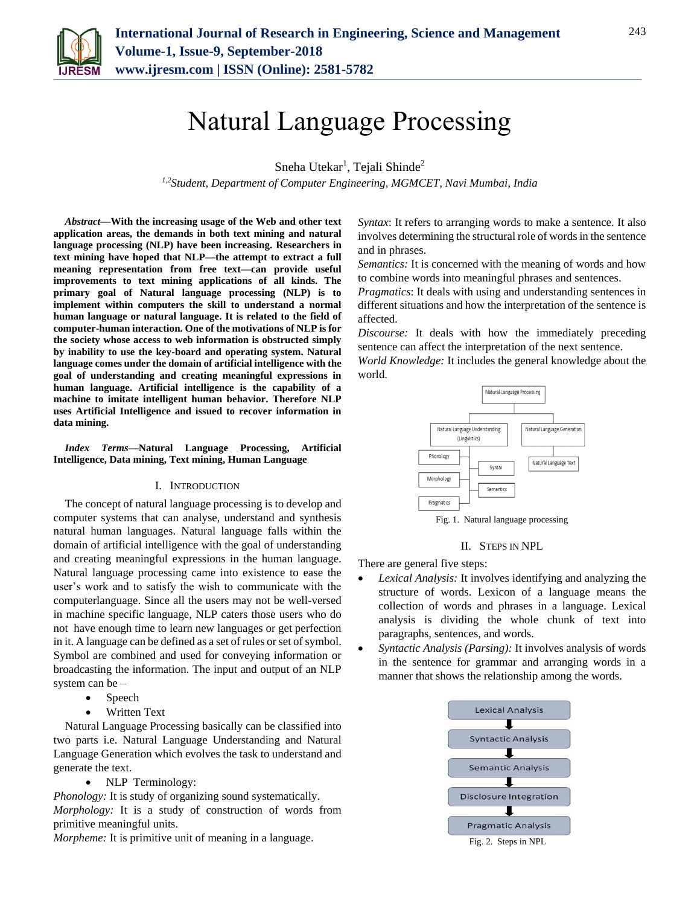

# Natural Language Processing

Sneha Utekar<sup>1</sup>, Tejali Shinde<sup>2</sup>

*1,2Student, Department of Computer Engineering, MGMCET, Navi Mumbai, India*

*Abstract***—With the increasing usage of the Web and other text application areas, the demands in both text mining and natural language processing (NLP) have been increasing. Researchers in text mining have hoped that NLP—the attempt to extract a full meaning representation from free text—can provide useful improvements to text mining applications of all kinds. The primary goal of Natural language processing (NLP) is to implement within computers the skill to understand a normal human language or natural language. It is related to the field of computer-human interaction. One of the motivations of NLP is for the society whose access to web information is obstructed simply by inability to use the key-board and operating system. Natural language comes under the domain of artificial intelligence with the goal of understanding and creating meaningful expressions in human language. Artificial intelligence is the capability of a machine to imitate intelligent human behavior. Therefore NLP uses Artificial Intelligence and issued to recover information in data mining.**

*Index Terms***—Natural Language Processing, Artificial Intelligence, Data mining, Text mining, Human Language**

#### I. INTRODUCTION

The concept of natural language processing is to develop and computer systems that can analyse, understand and synthesis natural human languages. Natural language falls within the domain of artificial intelligence with the goal of understanding and creating meaningful expressions in the human language. Natural language processing came into existence to ease the user's work and to satisfy the wish to communicate with the computerlanguage. Since all the users may not be well-versed in machine specific language, NLP caters those users who do not have enough time to learn new languages or get perfection in it. A language can be defined as a set of rules or set of symbol. Symbol are combined and used for conveying information or broadcasting the information. The input and output of an NLP system can be –

- Speech
- Written Text

Natural Language Processing basically can be classified into two parts i.e. Natural Language Understanding and Natural Language Generation which evolves the task to understand and generate the text.

NLP Terminology:

*Phonology:* It is study of organizing sound systematically. *Morphology:* It is a study of construction of words from primitive meaningful units.

*Morpheme:* It is primitive unit of meaning in a language.

*Syntax*: It refers to arranging words to make a sentence. It also involves determining the structural role of words in the sentence and in phrases.

*Semantics:* It is concerned with the meaning of words and how to combine words into meaningful phrases and sentences.

*Pragmatics*: It deals with using and understanding sentences in different situations and how the interpretation of the sentence is affected.

*Discourse:* It deals with how the immediately preceding sentence can affect the interpretation of the next sentence.

*World Knowledge:* It includes the general knowledge about the world.



Fig. 1. Natural language processing

II. STEPS IN NPL

There are general five steps:

- *Lexical Analysis:* It involves identifying and analyzing the structure of words. Lexicon of a language means the collection of words and phrases in a language. Lexical analysis is dividing the whole chunk of text into paragraphs, sentences, and words.
- *Syntactic Analysis (Parsing):* It involves analysis of words in the sentence for grammar and arranging words in a manner that shows the relationship among the words.



Fig. 2. Steps in NPL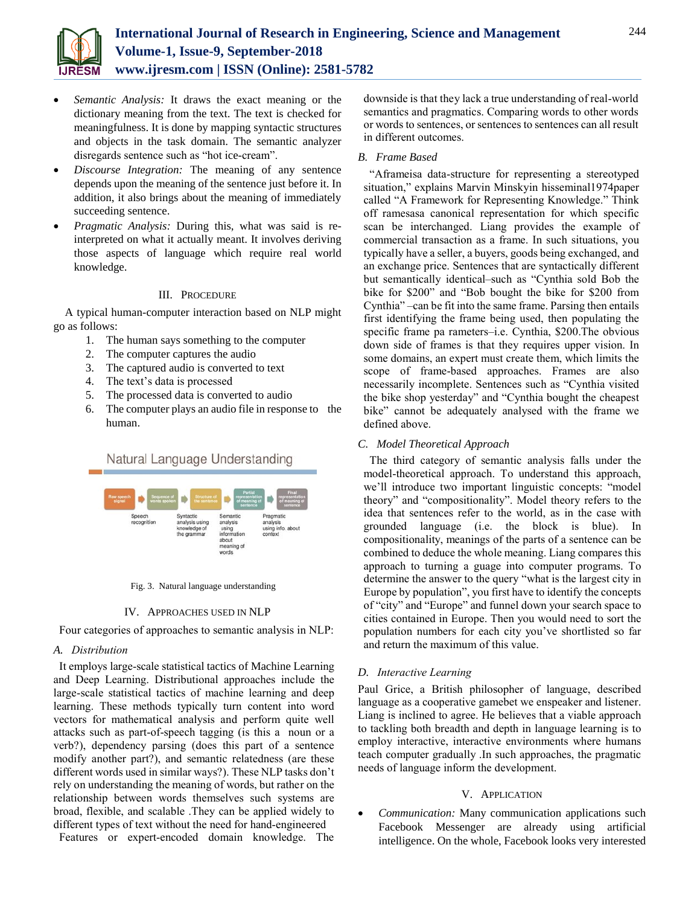

- *Semantic Analysis:* It draws the exact meaning or the dictionary meaning from the text. The text is checked for meaningfulness. It is done by mapping syntactic structures and objects in the task domain. The semantic analyzer disregards sentence such as "hot ice-cream".
- *Discourse Integration:* The meaning of any sentence depends upon the meaning of the sentence just before it. In addition, it also brings about the meaning of immediately succeeding sentence.
- *Pragmatic Analysis:* During this, what was said is reinterpreted on what it actually meant. It involves deriving those aspects of language which require real world knowledge.

# III. PROCEDURE

A typical human-computer interaction based on NLP might go as follows:

- 1. The human says something to the computer
- 2. The computer captures the audio
- 3. The captured audio is converted to text
- 4. The text's data is processed
- 5. The processed data is converted to audio
- 6. The computer plays an audio file in response to the human.



Fig. 3. Natural language understanding

#### IV. APPROACHES USED IN NLP

Four categories of approaches to semantic analysis in NLP:

## *A. Distribution*

It employs large-scale statistical tactics of Machine Learning and Deep Learning. Distributional approaches include the large-scale statistical tactics of machine learning and deep learning. These methods typically turn content into word vectors for mathematical analysis and perform quite well attacks such as part-of-speech tagging (is this a noun or a verb?), dependency parsing (does this part of a sentence modify another part?), and semantic relatedness (are these different words used in similar ways?). These NLP tasks don't rely on understanding the meaning of words, but rather on the relationship between words themselves such systems are broad, flexible, and scalable .They can be applied widely to different types of text without the need for hand-engineered

Features or expert-encoded domain knowledge. The

downside is that they lack a true understanding of real-world semantics and pragmatics. Comparing words to other words or words to sentences, or sentences to sentences can all result in different outcomes.

# *B. Frame Based*

"Aframeisa data-structure for representing a stereotyped situation," explains Marvin Minskyin hi[sseminal1974paper](http://web.media.mit.edu/~minsky/papers/Frames/frames.html)  [ca](http://web.media.mit.edu/~minsky/papers/Frames/frames.html)lled "A Framework for Representing Knowledge." Think off ramesasa canonical representation for which specific scan be interchanged. Liang provides the example of commercial transaction as a frame. In such situations, you typically have a seller, a buyers, goods being exchanged, and an exchange price. Sentences that are syntactically different but semantically identical–such as "Cynthia sold Bob the bike for \$200" and "Bob bought the bike for \$200 from Cynthia" –can be fit into the same frame. Parsing then entails first identifying the frame being used, then populating the specific frame pa rameters–i.e. Cynthia, \$200.The obvious down side of frames is that they requires upper vision. In some domains, an expert must create them, which limits the scope of frame-based approaches. Frames are also necessarily incomplete. Sentences such as "Cynthia visited the bike shop yesterday" and "Cynthia bought the cheapest bike" cannot be adequately analysed with the frame we defined above.

#### *C. Model Theoretical Approach*

The third category of semantic analysis falls under the model-theoretical approach. To understand this approach, we'll introduce two important linguistic concepts: "model theory" and "compositionality". Model theory refers to the idea that sentences refer to the world, as in the case with grounded language (i.e. the block is blue). In compositionality, meanings of the parts of a sentence can be combined to deduce the whole meaning. Liang compares this approach to turning a guage into computer programs. To determine the answer to the query "what is the largest city in Europe by population", you first have to identify the concepts of "city" and "Europe" and funnel down your search space to cities contained in Europe. Then you would need to sort the population numbers for each city you've shortlisted so far and return the maximum of this value.

#### *D. Interactive Learning*

Paul Grice, a British philosopher of language, described language as a cooperative gamebet we enspeaker and listener. Liang is inclined to agree. He believes that a viable approach to tackling both breadth and depth in language learning is to employ interactive, interactive environments where humans teach computer gradually .In such approaches, the pragmatic needs of language inform the development.

#### V. APPLICATION

 *Communication:* Many communication applications such Facebook Messenger are already using artificial intelligence. On the whole, Facebook looks very interested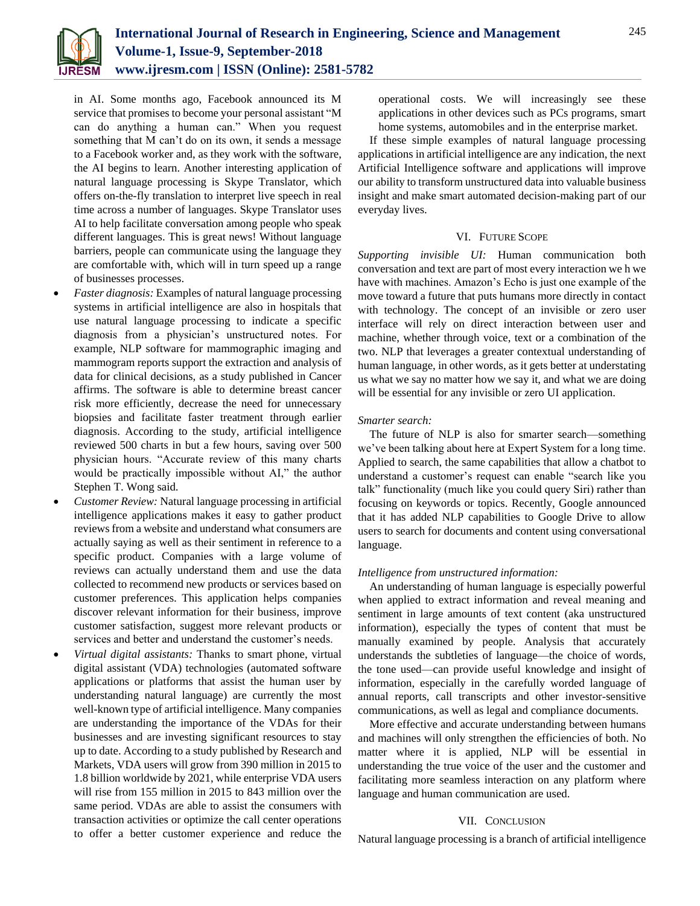

in AI. Some months ago, Facebook announced its M service that promises to become your personal assistant "M can do anything a human can." When you request something that M can't do on its own, it sends a message to a Facebook worker and, as they work with the software, the AI begins to learn. Another interesting application of natural language processing is Skype Translator, which offers on-the-fly translation to interpret live speech in real time across a number of languages. Skype Translator uses AI to help facilitate conversation among people who speak different languages. This is great news! Without language barriers, people can communicate using the language they are comfortable with, which will in turn speed up a range of businesses processes.

- *Faster diagnosis:* Examples of natural language processing systems in artificial intelligence are also in hospitals that use natural language processing to indicate a specific diagnosis from a physician's unstructured notes. For example, NLP software for mammographic imaging and mammogram reports support the extraction and analysis of data for clinical decisions, as a study published in Cancer affirms. The software is able to determine breast cancer risk more efficiently, decrease the need for unnecessary biopsies and facilitate faster treatment through earlier diagnosis. According to the study, artificial intelligence reviewed 500 charts in but a few hours, saving over 500 physician hours. "Accurate review of this many charts would be practically impossible without AI," the author Stephen T. Wong said.
- *Customer Review:* Natural language processing in artificial intelligence applications makes it easy to gather product reviews from a website and understand what consumers are actually saying as well as their sentiment in reference to a specific product. Companies with a large volume of reviews can actually understand them and use the data collected to recommend new products or services based on customer preferences. This application helps companies discover relevant information for their business, improve customer satisfaction, suggest more relevant products or services and better and understand the customer's needs.
- *Virtual digital assistants:* Thanks to smart phone, virtual digital assistant (VDA) technologies (automated software applications or platforms that assist the human user by understanding natural language) are currently the most well-known type of artificial intelligence. Many companies are understanding the importance of the VDAs for their businesses and are investing significant resources to stay up to date. According to a study published by Research and Markets, VDA users will grow from 390 million in 2015 to 1.8 billion worldwide by 2021, while enterprise VDA users will rise from 155 million in 2015 to 843 million over the same period. VDAs are able to assist the consumers with transaction activities or optimize the call center operations to offer a better customer experience and reduce the

operational costs. We will increasingly see these applications in other devices such as PCs programs, smart home systems, automobiles and in the enterprise market.

If these simple examples of natural language processing applications in artificial intelligence are any indication, the next Artificial Intelligence software and applications will improve our ability to transform unstructured data into valuable business insight and make smart automated decision-making part of our everyday lives.

#### VI. FUTURE SCOPE

*Supporting invisible UI:* Human communication both conversation and text are part of most every interaction we h we have with machines. Amazon's Echo is just one example of the move toward a future that puts humans more directly in contact with technology. The concept of an invisible or zero user interface will rely on direct interaction between user and machine, whether through voice, text or a combination of the two. NLP that leverages a greater contextual understanding of human language, in other words, as it gets better at understating us what we say no matter how we say it, and what we are doing will be essential for any invisible or zero UI application.

## *Smarter search:*

The future of NLP is also for smarter search—something we've been talking about here at Expert System for a long time. Applied to search, the same capabilities that allow a chatbot to understand a customer's request can enable "search like you talk" functionality (much like you could query Siri) rather than focusing on keywords or topics. Recently, Google announced that it has added NLP capabilities to Google Drive to allow users to search for documents and content using conversational language.

#### *Intelligence from unstructured information:*

An understanding of human language is especially powerful when applied to extract information and reveal meaning and sentiment in large amounts of text content (aka unstructured information), especially the types of content that must be manually examined by people. Analysis that accurately understands the subtleties of language—the choice of words, the tone used—can provide useful knowledge and insight of information, especially in the carefully worded language of annual reports, call transcripts and other investor-sensitive communications, as well as legal and compliance documents.

More effective and accurate understanding between humans and machines will only strengthen the efficiencies of both. No matter where it is applied, NLP will be essential in understanding the true voice of the user and the customer and facilitating more seamless interaction on any platform where language and human communication are used.

#### VII. CONCLUSION

Natural language processing is a branch of artificial intelligence